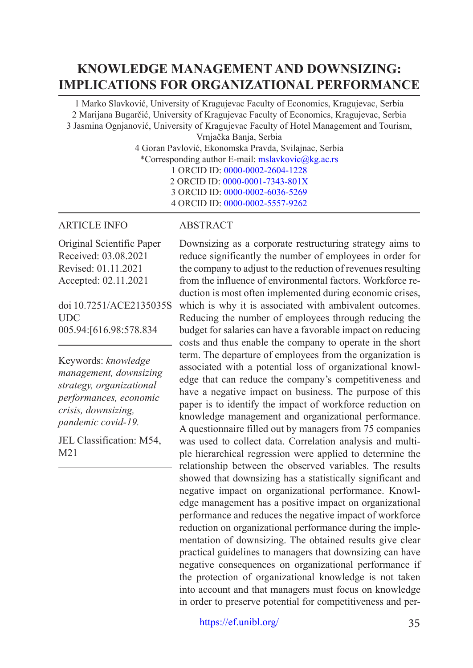# **KNOWLEDGE MANAGEMENT AND DOWNSIZING: IMPLICATIONS FOR ORGANIZATIONAL PERFORMANCE**

1 Marko Slavković, University of Kragujevac Faculty of Economics, Kragujevac, Serbia 2 Marijana Bugarčić, University of Kragujevac Faculty of Economics, Kragujevac, Serbia 3 Jasmina Ognjanović, University of Kragujevac Faculty of Hotel Management and Tourism, Vrnjačka Banja, Serbia

4 Goran Pavlović, Ekonomska Pravda, Svilajnac, Serbia \*Corresponding author E-mail: [mslavkovic@kg.ac.rs](mailto:mslavkovic@kg.ac.rs) 1 ORCID ID: [0000-0002-2604-1228](https://orcid.org/0000-0002-2604-1228) 2 ORCID ID: [0000-0001-7343-801X](https://orcid.org/0000-0001-7343-801X) 3 ORCID ID: [0000-0002-6036-5269](https://orcid.org/0000-0002-6036-5269)

#### 4 ORCID ID: [0000-0002-5557-9262](https://orcid.org/0000-0002-5557-9262)

#### ARTICLE INFO

Original Scientific Paper Received: 03.08.2021 Revised: 01.11.2021 Accepted: 02.11.2021

doi 10.7251/ACE2135035S **UDC** 005.94:[616.98:578.834

Keywords: *knowledge management, downsizing strategy, organizational performances, economic crisis, downsizing, pandemic covid-19.*

JEL Classification: M54, M21

#### ABSTRACT

Downsizing as a corporate restructuring strategy aims to reduce significantly the number of employees in order for the company to adjust to the reduction of revenues resulting from the influence of environmental factors. Workforce reduction is most often implemented during economic crises, which is why it is associated with ambivalent outcomes. Reducing the number of employees through reducing the budget for salaries can have a favorable impact on reducing costs and thus enable the company to operate in the short term. The departure of employees from the organization is associated with a potential loss of organizational knowledge that can reduce the company's competitiveness and have a negative impact on business. The purpose of this paper is to identify the impact of workforce reduction on knowledge management and organizational performance. A questionnaire filled out by managers from 75 companies was used to collect data. Correlation analysis and multiple hierarchical regression were applied to determine the relationship between the observed variables. The results showed that downsizing has a statistically significant and negative impact on organizational performance. Knowledge management has a positive impact on organizational performance and reduces the negative impact of workforce reduction on organizational performance during the implementation of downsizing. The obtained results give clear practical guidelines to managers that downsizing can have negative consequences on organizational performance if the protection of organizational knowledge is not taken into account and that managers must focus on knowledge in order to preserve potential for competitiveness and per-

<https://ef.unibl.org/> 35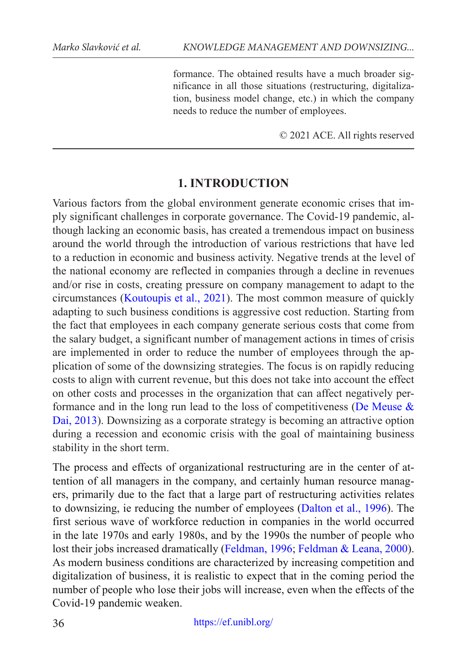formance. The obtained results have a much broader significance in all those situations (restructuring, digitalization, business model change, etc.) in which the company needs to reduce the number of employees.

© 2021 ACE. All rights reserved

# **1. INTRODUCTION**

Various factors from the global environment generate economic crises that imply significant challenges in corporate governance. The Covid-19 pandemic, although lacking an economic basis, has created a tremendous impact on business around the world through the introduction of various restrictions that have led to a reduction in economic and business activity. Negative trends at the level of the national economy are reflected in companies through a decline in revenues and/or rise in costs, creating pressure on company management to adapt to the circumstances [\(Koutoupis et al., 2021\)](#page-14-0). The most common measure of quickly adapting to such business conditions is aggressive cost reduction. Starting from the fact that employees in each company generate serious costs that come from the salary budget, a significant number of management actions in times of crisis are implemented in order to reduce the number of employees through the application of some of the downsizing strategies. The focus is on rapidly reducing costs to align with current revenue, but this does not take into account the effect on other costs and processes in the organization that can affect negatively performance and in the long run lead to the loss of competitiveness (De Meuse  $\&$ Dai, 2013). Downsizing as a corporate strategy is becoming an attractive option during a recession and economic crisis with the goal of maintaining business stability in the short term.

The process and effects of organizational restructuring are in the center of attention of all managers in the company, and certainly human resource managers, primarily due to the fact that a large part of restructuring activities relates to downsizing, ie reducing the number of employees (Dalton et al., 1996). The first serious wave of workforce reduction in companies in the world occurred in the late 1970s and early 1980s, and by the 1990s the number of people who lost their jobs increased dramatically (Feldman, 1996; Feldman & Leana, 2000). As modern business conditions are characterized by increasing competition and digitalization of business, it is realistic to expect that in the coming period the number of people who lose their jobs will increase, even when the effects of the Covid-19 pandemic weaken.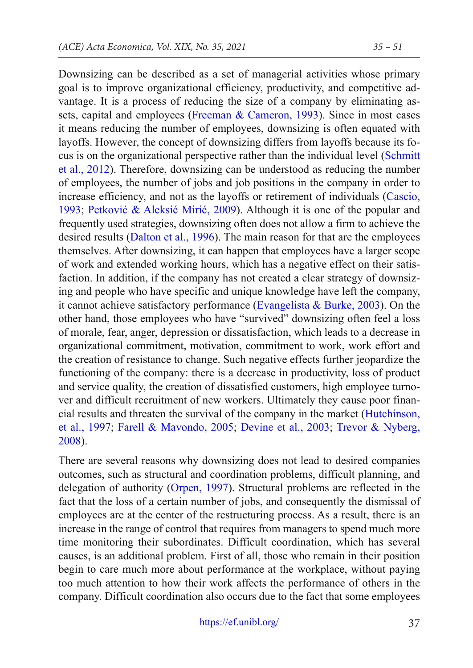Downsizing can be described as a set of managerial activities whose primary goal is to improve organizational efficiency, productivity, and competitive advantage. It is a process of reducing the size of a company by eliminating assets, capital and employees (Freeman & Cameron, 1993). Since in most cases it means reducing the number of employees, downsizing is often equated with layoffs. However, the concept of downsizing differs from layoffs because its focus is on the organizational perspective rather than the individual level (Schmitt et al., 2012). Therefore, downsizing can be understood as reducing the number of employees, the number of jobs and job positions in the company in order to increase efficiency, and not as the layoffs or retirement of individuals (Cascio, 1993; Petković & Aleksić Mirić, 2009). Although it is one of the popular and frequently used strategies, downsizing often does not allow a firm to achieve the desired results (Dalton et al., 1996). The main reason for that are the employees themselves. After downsizing, it can happen that employees have a larger scope of work and extended working hours, which has a negative effect on their satisfaction. In addition, if the company has not created a clear strategy of downsizing and people who have specific and unique knowledge have left the company, it cannot achieve satisfactory performance (Evangelista  $\&$  Burke, 2003). On the other hand, those employees who have "survived" downsizing often feel a loss of morale, fear, anger, depression or dissatisfaction, which leads to a decrease in organizational commitment, motivation, commitment to work, work effort and the creation of resistance to change. Such negative effects further jeopardize the functioning of the company: there is a decrease in productivity, loss of product and service quality, the creation of dissatisfied customers, high employee turnover and difficult recruitment of new workers. Ultimately they cause poor financial results and threaten the survival of the company in the market (Hutchinson, et al., 1997; Farell & Mavondo, 2005; Devine et al., 2003; Trevor & Nyberg, 2008).

There are several reasons why downsizing does not lead to desired companies outcomes, such as structural and coordination problems, difficult planning, and delegation of authority (Orpen, 1997). Structural problems are reflected in the fact that the loss of a certain number of jobs, and consequently the dismissal of employees are at the center of the restructuring process. As a result, there is an increase in the range of control that requires from managers to spend much more time monitoring their subordinates. Difficult coordination, which has several causes, is an additional problem. First of all, those who remain in their position begin to care much more about performance at the workplace, without paying too much attention to how their work affects the performance of others in the company. Difficult coordination also occurs due to the fact that some employees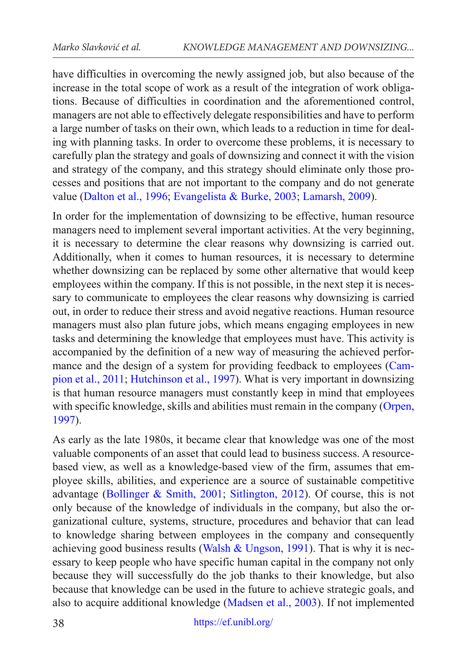have difficulties in overcoming the newly assigned job, but also because of the increase in the total scope of work as a result of the integration of work obligations. Because of difficulties in coordination and the aforementioned control, managers are not able to effectively delegate responsibilities and have to perform a large number of tasks on their own, which leads to a reduction in time for dealing with planning tasks. In order to overcome these problems, it is necessary to carefully plan the strategy and goals of downsizing and connect it with the vision and strategy of the company, and this strategy should eliminate only those processes and positions that are not important to the company and do not generate value (Dalton et al., 1996; Evangelista & Burke, 2003; Lamarsh, 2009).

In order for the implementation of downsizing to be effective, human resource managers need to implement several important activities. At the very beginning, it is necessary to determine the clear reasons why downsizing is carried out. Additionally, when it comes to human resources, it is necessary to determine whether downsizing can be replaced by some other alternative that would keep employees within the company. If this is not possible, in the next step it is necessary to communicate to employees the clear reasons why downsizing is carried out, in order to reduce their stress and avoid negative reactions. Human resource managers must also plan future jobs, which means engaging employees in new tasks and determining the knowledge that employees must have. This activity is accompanied by the definition of a new way of measuring the achieved performance and the design of a system for providing feedback to employees (Campion et al., 2011; Hutchinson et al., 1997). What is very important in downsizing is that human resource managers must constantly keep in mind that employees with specific knowledge, skills and abilities must remain in the company (Orpen, 1997).

As early as the late 1980s, it became clear that knowledge was one of the most valuable components of an asset that could lead to business success. A resourcebased view, as well as a knowledge-based view of the firm, assumes that employee skills, abilities, and experience are a source of sustainable competitive advantage (Bollinger & Smith, 2001; Sitlington, 2012). Of course, this is not only because of the knowledge of individuals in the company, but also the organizational culture, systems, structure, procedures and behavior that can lead to knowledge sharing between employees in the company and consequently achieving good business results (Walsh  $&$  Ungson, 1991). That is why it is necessary to keep people who have specific human capital in the company not only because they will successfully do the job thanks to their knowledge, but also because that knowledge can be used in the future to achieve strategic goals, and also to acquire additional knowledge (Madsen et al., 2003). If not implemented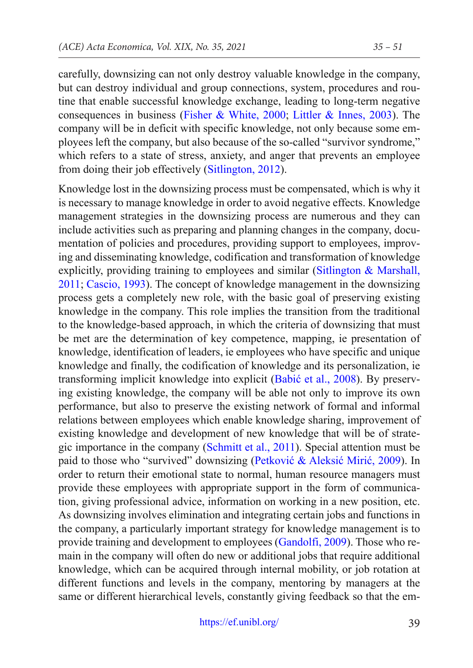carefully, downsizing can not only destroy valuable knowledge in the company, but can destroy individual and group connections, system, procedures and routine that enable successful knowledge exchange, leading to long-term negative consequences in business (Fisher & White, 2000; Littler & Innes, 2003). The company will be in deficit with specific knowledge, not only because some employees left the company, but also because of the so-called "survivor syndrome," which refers to a state of stress, anxiety, and anger that prevents an employee from doing their job effectively (Sitlington, 2012).

Knowledge lost in the downsizing process must be compensated, which is why it is necessary to manage knowledge in order to avoid negative effects. Knowledge management strategies in the downsizing process are numerous and they can include activities such as preparing and planning changes in the company, documentation of policies and procedures, providing support to employees, improving and disseminating knowledge, codification and transformation of knowledge explicitly, providing training to employees and similar (Sitlington & Marshall, 2011; Cascio, 1993). The concept of knowledge management in the downsizing process gets a completely new role, with the basic goal of preserving existing knowledge in the company. This role implies the transition from the traditional to the knowledge-based approach, in which the criteria of downsizing that must be met are the determination of key competence, mapping, ie presentation of knowledge, identification of leaders, ie employees who have specific and unique knowledge and finally, the codification of knowledge and its personalization, ie transforming implicit knowledge into explicit (Babić et al., 2008). By preserving existing knowledge, the company will be able not only to improve its own performance, but also to preserve the existing network of formal and informal relations between employees which enable knowledge sharing, improvement of existing knowledge and development of new knowledge that will be of strategic importance in the company (Schmitt et al., 2011). Special attention must be paid to those who "survived" downsizing (Petković & Aleksić Mirić, 2009). In order to return their emotional state to normal, human resource managers must provide these employees with appropriate support in the form of communication, giving professional advice, information on working in a new position, etc. As downsizing involves elimination and integrating certain jobs and functions in the company, a particularly important strategy for knowledge management is to provide training and development to employees (Gandolfi, 2009). Those who remain in the company will often do new or additional jobs that require additional knowledge, which can be acquired through internal mobility, or job rotation at different functions and levels in the company, mentoring by managers at the same or different hierarchical levels, constantly giving feedback so that the em-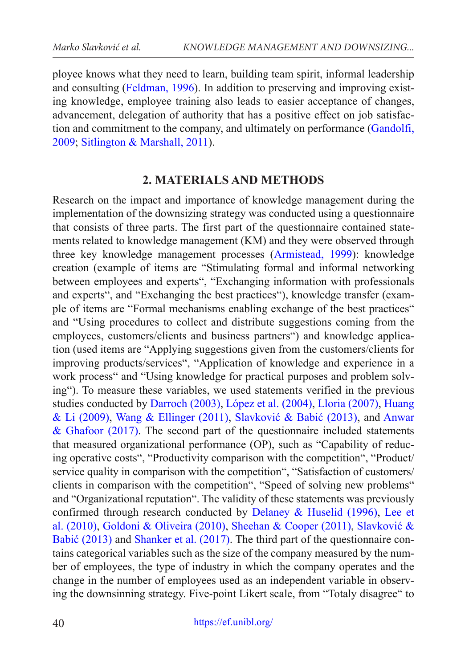ployee knows what they need to learn, building team spirit, informal leadership and consulting (Feldman, 1996). In addition to preserving and improving existing knowledge, employee training also leads to easier acceptance of changes, advancement, delegation of authority that has a positive effect on job satisfaction and commitment to the company, and ultimately on performance (Gandolfi, 2009; Sitlington & Marshall, 2011).

## **2. MATERIALS AND METHODS**

Research on the impact and importance of knowledge management during the implementation of the downsizing strategy was conducted using a questionnaire that consists of three parts. The first part of the questionnaire contained statements related to knowledge management (KM) and they were observed through three key knowledge management processes (Armistead, 1999): knowledge creation (example of items are "Stimulating formal and informal networking between employees and experts", "Exchanging information with professionals and experts", and "Exchanging the best practices"), knowledge transfer (example of items are "Formal mechanisms enabling exchange of the best practices" and "Using procedures to collect and distribute suggestions coming from the employees, customers/clients and business partners") and knowledge application (used items are "Applying suggestions given from the customers/clients for improving products/services", "Application of knowledge and experience in a work process" and "Using knowledge for practical purposes and problem solving"). To measure these variables, we used statements verified in the previous studies conducted by Darroch (2003), López et al. (2004), Lloria (2007), Huang & Li (2009), Wang & Ellinger (2011), Slavković & Babić (2013), and Anwar  $& Ghafoor (2017)$ . The second part of the questionnaire included statements that measured organizational performance (OP), such as "Capability of reducing operative costs", "Productivity comparison with the competition", "Product/ service quality in comparison with the competition", "Satisfaction of customers/ clients in comparison with the competition", "Speed of solving new problems" and "Organizational reputation". The validity of these statements was previously confirmed through research conducted by Delaney & Huselid (1996), Lee et al. (2010), Goldoni & Oliveira (2010), Sheehan & Cooper (2011), Slavković & Babić (2013) and Shanker et al. (2017). The third part of the questionnaire contains categorical variables such as the size of the company measured by the number of employees, the type of industry in which the company operates and the change in the number of employees used as an independent variable in observing the downsinning strategy. Five-point Likert scale, from "Totaly disagree" to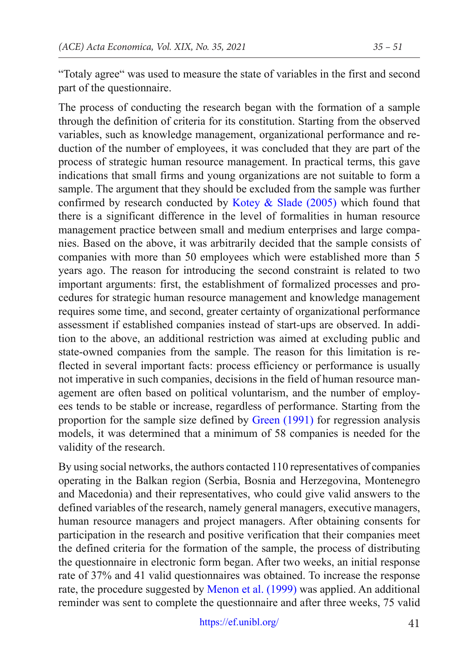"Totaly agree" was used to measure the state of variables in the first and second part of the questionnaire.

The process of conducting the research began with the formation of a sample through the definition of criteria for its constitution. Starting from the observed variables, such as knowledge management, organizational performance and reduction of the number of employees, it was concluded that they are part of the process of strategic human resource management. In practical terms, this gave indications that small firms and young organizations are not suitable to form a sample. The argument that they should be excluded from the sample was further confirmed by research conducted by Kotey  $\&$  Slade (2005) which found that there is a significant difference in the level of formalities in human resource management practice between small and medium enterprises and large companies. Based on the above, it was arbitrarily decided that the sample consists of companies with more than 50 employees which were established more than 5 years ago. The reason for introducing the second constraint is related to two important arguments: first, the establishment of formalized processes and procedures for strategic human resource management and knowledge management requires some time, and second, greater certainty of organizational performance assessment if established companies instead of start-ups are observed. In addition to the above, an additional restriction was aimed at excluding public and state-owned companies from the sample. The reason for this limitation is reflected in several important facts: process efficiency or performance is usually not imperative in such companies, decisions in the field of human resource management are often based on political voluntarism, and the number of employees tends to be stable or increase, regardless of performance. Starting from the proportion for the sample size defined by Green (1991) for regression analysis models, it was determined that a minimum of 58 companies is needed for the validity of the research.

By using social networks, the authors contacted 110 representatives of companies operating in the Balkan region (Serbia, Bosnia and Herzegovina, Montenegro and Macedonia) and their representatives, who could give valid answers to the defined variables of the research, namely general managers, executive managers, human resource managers and project managers. After obtaining consents for participation in the research and positive verification that their companies meet the defined criteria for the formation of the sample, the process of distributing the questionnaire in electronic form began. After two weeks, an initial response rate of 37% and 41 valid questionnaires was obtained. To increase the response rate, the procedure suggested by [Menon et al. \(1999\)](#page-14-1) was applied. An additional reminder was sent to complete the questionnaire and after three weeks, 75 valid

<https://ef.unibl.org/>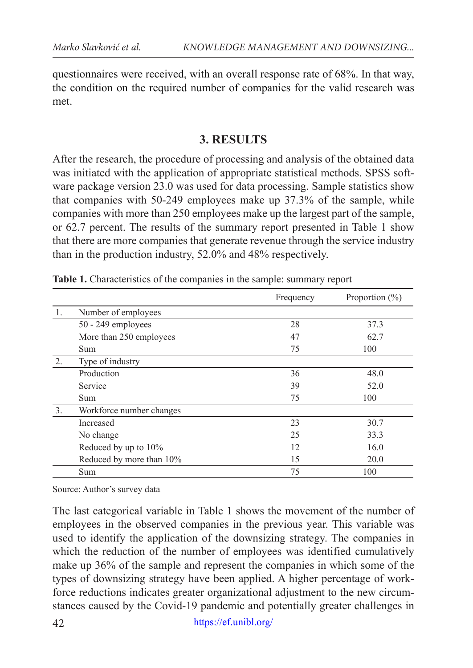questionnaires were received, with an overall response rate of 68%. In that way, the condition on the required number of companies for the valid research was met.

## **3. RESULTS**

After the research, the procedure of processing and analysis of the obtained data was initiated with the application of appropriate statistical methods. SPSS software package version 23.0 was used for data processing. Sample statistics show that companies with 50-249 employees make up 37.3% of the sample, while companies with more than 250 employees make up the largest part of the sample, or 62.7 percent. The results of the summary report presented in Table 1 show that there are more companies that generate revenue through the service industry than in the production industry, 52.0% and 48% respectively.

|    |                          | Frequency | Proportion $(\% )$ |
|----|--------------------------|-----------|--------------------|
| 1. | Number of employees      |           |                    |
|    | $50 - 249$ employees     | 28        | 37.3               |
|    | More than 250 employees  | 47        | 62.7               |
|    | <b>Sum</b>               | 75        | 100                |
| 2. | Type of industry         |           |                    |
|    | Production               | 36        | 48.0               |
|    | Service                  | 39        | 52.0               |
|    | Sum.                     | 75        | 100                |
| 3. | Workforce number changes |           |                    |
|    | Increased                | 23        | 30.7               |
|    | No change                | 25        | 33.3               |
|    | Reduced by up to 10%     | 12        | 16.0               |
|    | Reduced by more than 10% | 15        | 20.0               |
|    | Sum                      | 75        | 100                |

**Table 1.** Characteristics of the companies in the sample: summary report

Source: Author's survey data

The last categorical variable in Table 1 shows the movement of the number of employees in the observed companies in the previous year. This variable was used to identify the application of the downsizing strategy. The companies in which the reduction of the number of employees was identified cumulatively make up 36% of the sample and represent the companies in which some of the types of downsizing strategy have been applied. A higher percentage of workforce reductions indicates greater organizational adjustment to the new circumstances caused by the Covid-19 pandemic and potentially greater challenges in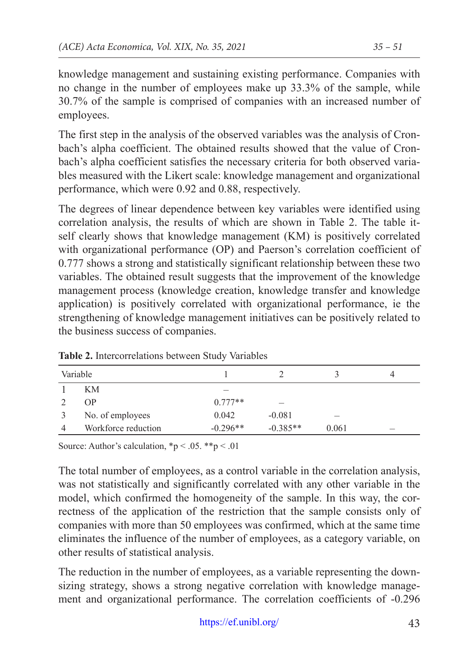knowledge management and sustaining existing performance. Companies with no change in the number of employees make up 33.3% of the sample, while 30.7% of the sample is comprised of companies with an increased number of employees.

The first step in the analysis of the observed variables was the analysis of Cronbach's alpha coefficient. The obtained results showed that the value of Cronbach's alpha coefficient satisfies the necessary criteria for both observed variables measured with the Likert scale: knowledge management and organizational performance, which were 0.92 and 0.88, respectively.

The degrees of linear dependence between key variables were identified using correlation analysis, the results of which are shown in Table 2. The table itself clearly shows that knowledge management (KM) is positively correlated with organizational performance (OP) and Paerson's correlation coefficient of 0.777 shows a strong and statistically significant relationship between these two variables. The obtained result suggests that the improvement of the knowledge management process (knowledge creation, knowledge transfer and knowledge application) is positively correlated with organizational performance, ie the strengthening of knowledge management initiatives can be positively related to the business success of companies.

| Variable            |            |            |       |  |
|---------------------|------------|------------|-------|--|
| KМ                  |            |            |       |  |
| <b>OP</b>           | $0.777**$  |            |       |  |
| No. of employees    | 0.042      | $-0.081$   |       |  |
| Workforce reduction | $-0.296**$ | $-0.385**$ | 0.061 |  |

**Table 2.** Intercorrelations between Study Variables

Source: Author's calculation,  $np < .05$ . \*\*p < .01

The total number of employees, as a control variable in the correlation analysis, was not statistically and significantly correlated with any other variable in the model, which confirmed the homogeneity of the sample. In this way, the correctness of the application of the restriction that the sample consists only of companies with more than 50 employees was confirmed, which at the same time eliminates the influence of the number of employees, as a category variable, on other results of statistical analysis.

The reduction in the number of employees, as a variable representing the downsizing strategy, shows a strong negative correlation with knowledge management and organizational performance. The correlation coefficients of -0.296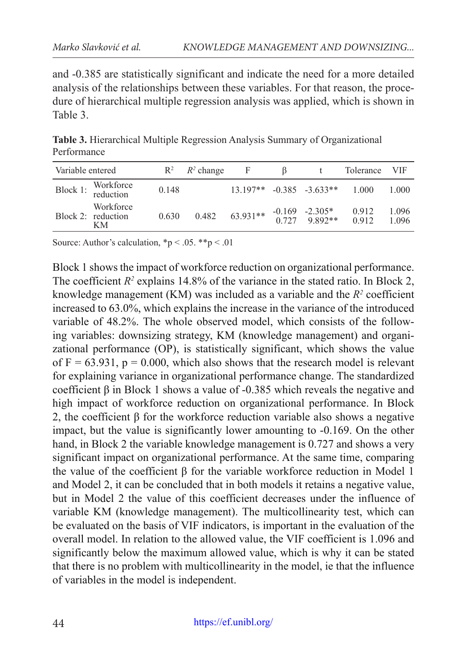and -0.385 are statistically significant and indicate the need for a more detailed analysis of the relationships between these variables. For that reason, the procedure of hierarchical multiple regression analysis was applied, which is shown in Table 3.

**Table 3.** Hierarchical Multiple Regression Analysis Summary of Organizational Performance

| Variable entered |                                       | $R^2$ | $R^2$ change | F          |                                     | Tolerance      | <b>VIF</b>     |
|------------------|---------------------------------------|-------|--------------|------------|-------------------------------------|----------------|----------------|
| Block 1:         | Workforce<br>reduction                | 0.148 |              | $13.197**$ | $-0.385 - 3.633**$                  | 1.000          | 1.000          |
|                  | Workforce<br>Block 2: reduction<br>KМ | 0.630 | 0.482        | 63.931**   | $-0.169$ $-2.305*$<br>0.727 9.892** | 0.912<br>0.912 | 1.096<br>1.096 |

Source: Author's calculation,  $np < .05.$  \*\*p  $< .01$ 

Block 1 shows the impact of workforce reduction on organizational performance. The coefficient  $R^2$  explains 14.8% of the variance in the stated ratio. In Block 2, knowledge management  $(KM)$  was included as a variable and the  $R<sup>2</sup>$  coefficient increased to 63.0%, which explains the increase in the variance of the introduced variable of 48.2%. The whole observed model, which consists of the following variables: downsizing strategy, KM (knowledge management) and organizational performance (OP), is statistically significant, which shows the value of  $F = 63.931$ ,  $p = 0.000$ , which also shows that the research model is relevant for explaining variance in organizational performance change. The standardized coefficient β in Block 1 shows a value of -0.385 which reveals the negative and high impact of workforce reduction on organizational performance. In Block 2, the coefficient β for the workforce reduction variable also shows a negative impact, but the value is significantly lower amounting to -0.169. On the other hand, in Block 2 the variable knowledge management is 0.727 and shows a very significant impact on organizational performance. At the same time, comparing the value of the coefficient β for the variable workforce reduction in Model 1 and Model 2, it can be concluded that in both models it retains a negative value, but in Model 2 the value of this coefficient decreases under the influence of variable KM (knowledge management). The multicollinearity test, which can be evaluated on the basis of VIF indicators, is important in the evaluation of the overall model. In relation to the allowed value, the VIF coefficient is 1.096 and significantly below the maximum allowed value, which is why it can be stated that there is no problem with multicollinearity in the model, ie that the influence of variables in the model is independent.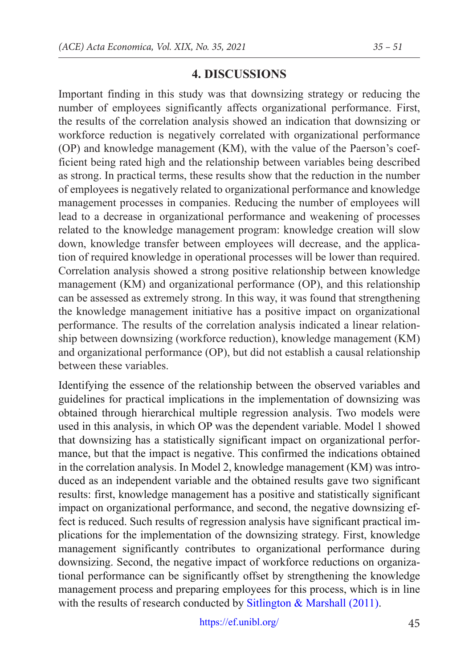# **4. DISCUSSIONS**

Important finding in this study was that downsizing strategy or reducing the number of employees significantly affects organizational performance. First, the results of the correlation analysis showed an indication that downsizing or workforce reduction is negatively correlated with organizational performance (OP) and knowledge management (KM), with the value of the Paerson's coefficient being rated high and the relationship between variables being described as strong. In practical terms, these results show that the reduction in the number of employees is negatively related to organizational performance and knowledge management processes in companies. Reducing the number of employees will lead to a decrease in organizational performance and weakening of processes related to the knowledge management program: knowledge creation will slow down, knowledge transfer between employees will decrease, and the application of required knowledge in operational processes will be lower than required. Correlation analysis showed a strong positive relationship between knowledge management (KM) and organizational performance (OP), and this relationship can be assessed as extremely strong. In this way, it was found that strengthening the knowledge management initiative has a positive impact on organizational performance. The results of the correlation analysis indicated a linear relationship between downsizing (workforce reduction), knowledge management (KM) and organizational performance (OP), but did not establish a causal relationship between these variables.

Identifying the essence of the relationship between the observed variables and guidelines for practical implications in the implementation of downsizing was obtained through hierarchical multiple regression analysis. Two models were used in this analysis, in which OP was the dependent variable. Model 1 showed that downsizing has a statistically significant impact on organizational performance, but that the impact is negative. This confirmed the indications obtained in the correlation analysis. In Model 2, knowledge management (KM) was introduced as an independent variable and the obtained results gave two significant results: first, knowledge management has a positive and statistically significant impact on organizational performance, and second, the negative downsizing effect is reduced. Such results of regression analysis have significant practical implications for the implementation of the downsizing strategy. First, knowledge management significantly contributes to organizational performance during downsizing. Second, the negative impact of workforce reductions on organizational performance can be significantly offset by strengthening the knowledge management process and preparing employees for this process, which is in line with the results of research conducted by Sitlington & Marshall (2011).

<https://ef.unibl.org/>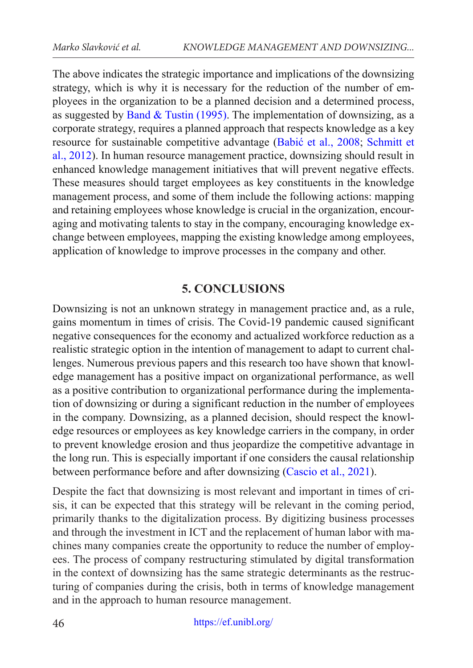The above indicates the strategic importance and implications of the downsizing strategy, which is why it is necessary for the reduction of the number of employees in the organization to be a planned decision and a determined process, as suggested by Band & Tustin (1995). The implementation of downsizing, as a corporate strategy, requires a planned approach that respects knowledge as a key resource for sustainable competitive advantage (Babić et al., 2008; Schmitt et al., 2012). In human resource management practice, downsizing should result in enhanced knowledge management initiatives that will prevent negative effects. These measures should target employees as key constituents in the knowledge management process, and some of them include the following actions: mapping and retaining employees whose knowledge is crucial in the organization, encouraging and motivating talents to stay in the company, encouraging knowledge exchange between employees, mapping the existing knowledge among employees, application of knowledge to improve processes in the company and other.

# **5. CONCLUSIONS**

Downsizing is not an unknown strategy in management practice and, as a rule, gains momentum in times of crisis. The Covid-19 pandemic caused significant negative consequences for the economy and actualized workforce reduction as a realistic strategic option in the intention of management to adapt to current challenges. Numerous previous papers and this research too have shown that knowledge management has a positive impact on organizational performance, as well as a positive contribution to organizational performance during the implementation of downsizing or during a significant reduction in the number of employees in the company. Downsizing, as a planned decision, should respect the knowledge resources or employees as key knowledge carriers in the company, in order to prevent knowledge erosion and thus jeopardize the competitive advantage in the long run. This is especially important if one considers the causal relationship between performance before and after downsizing (Cascio et al., 2021).

Despite the fact that downsizing is most relevant and important in times of crisis, it can be expected that this strategy will be relevant in the coming period, primarily thanks to the digitalization process. By digitizing business processes and through the investment in ICT and the replacement of human labor with machines many companies create the opportunity to reduce the number of employees. The process of company restructuring stimulated by digital transformation in the context of downsizing has the same strategic determinants as the restructuring of companies during the crisis, both in terms of knowledge management and in the approach to human resource management.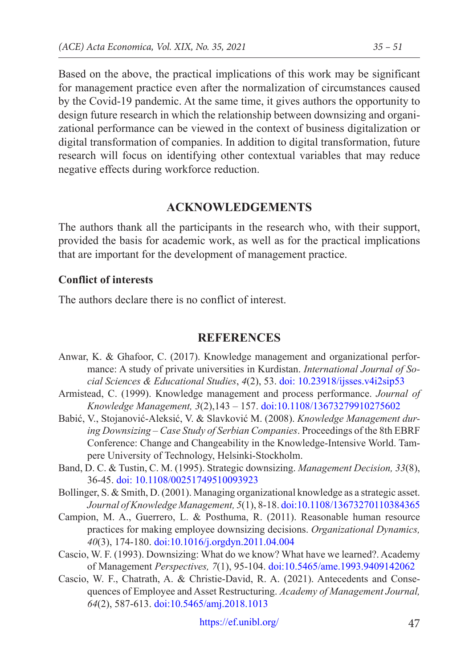Based on the above, the practical implications of this work may be significant for management practice even after the normalization of circumstances caused by the Covid-19 pandemic. At the same time, it gives authors the opportunity to design future research in which the relationship between downsizing and organizational performance can be viewed in the context of business digitalization or digital transformation of companies. In addition to digital transformation, future research will focus on identifying other contextual variables that may reduce negative effects during workforce reduction.

### **ACKNOWLEDGEMENTS**

The authors thank all the participants in the research who, with their support, provided the basis for academic work, as well as for the practical implications that are important for the development of management practice.

#### **Conflict of interests**

The authors declare there is no conflict of interest.

### **REFERENCES**

- Anwar, K. & Ghafoor, C. (2017). Knowledge management and organizational performance: A study of private universities in Kurdistan. *International Journal of Social Sciences & Educational Studies*, *4*(2), 53. [doi: 10.23918/ijsses.v4i2sip53](https://doi.org/10.23918/ijsses.v4i2sip53)
- Armistead, C. (1999). Knowledge management and process performance. *Journal of Knowledge Management, 3*(2),143 – 157. [doi:10.1108/13673279910275602](https://doi.org/10.1108/13673279910275602)
- Babić, V., Stojanović-Aleksić, V. & Slavković M. (2008). *Knowledge Management during Downsizing – Case Study of Serbian Companies*. Proceedings of the 8th EBRF Conference: Change and Changeability in the Knowledge-Intensive World. Tampere University of Technology, Helsinki-Stockholm.
- Band, D. C. & Tustin, C. M. (1995). Strategic downsizing. *Management Decision, 33*(8), 36-45. [doi: 10.1108/00251749510093923](https://doi.org/10.1108/00251749510093923)
- Bollinger, S. & Smith, D. (2001). Managing organizational knowledge as a strategic asset. *Journal of Knowledge Management, 5*(1), 8-18. [doi:10.1108/13673270110384365](https://doi.org/10.1108/13673270110384365)
- Campion, M. A., Guerrero, L. & Posthuma, R. (2011). Reasonable human resource practices for making employee downsizing decisions. *Organizational Dynamics, 40*(3), 174-180. [doi:10.1016/j.orgdyn.2011.04.004](https://doi:10.1016/j.orgdyn.2011.04.004)
- Cascio, W. F. (1993). Downsizing: What do we know? What have we learned?. Academy of Management *Perspectives, 7*(1), 95-104. [doi:10.5465/ame.1993.9409142062](https://doi.org/10.5465/ame.1993.9409142062)
- Cascio, W. F., Chatrath, A. & Christie-David, R. A. (2021). Antecedents and Consequences of Employee and Asset Restructuring. *Academy of Management Journal, 64*(2), 587-613. [doi:10.5465/amj.2018.1013](https://doi.org/10.5465/amj.2018.1013)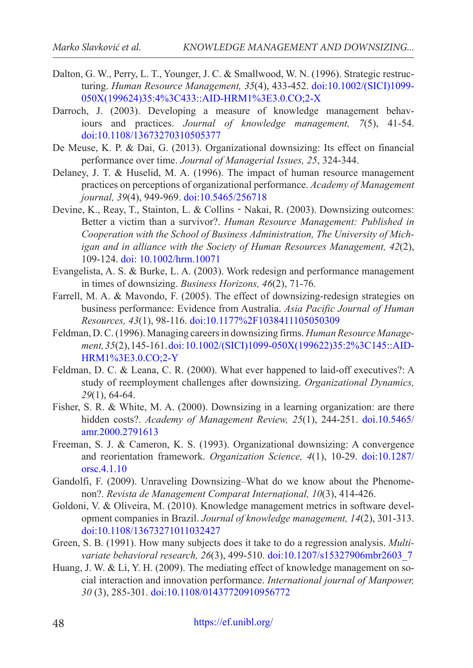- Dalton, G. W., Perry, L. T., Younger, J. C. & Smallwood, W. N. (1996). Strategic restructuring. *Human Resource Management, 35*(4), 433-452. [doi:10.1002/\(SICI\)1099-](https://doi.org/10.1002/(SICI)1099-050X(199624)35:4%3C433::AID-HRM1%3E3.0.CO;2-X) [050X\(199624\)35:4%3C433::AID-HRM1%3E3.0.CO;2-X](https://doi.org/10.1002/(SICI)1099-050X(199624)35:4%3C433::AID-HRM1%3E3.0.CO;2-X)
- Darroch, J. (2003). Developing a measure of knowledge management behaviours and practices. *Journal of knowledge management, 7*(5), 41-54. [doi:10.1108/13673270310505377](https://doi.org/10.1108/13673270310505377)
- De Meuse, K. P. & Dai, G. (2013). Organizational downsizing: Its effect on financial performance over time. *Journal of Managerial Issues, 25*, 324-344.
- Delaney, J. T. & Huselid, M. A. (1996). The impact of human resource management practices on perceptions of organizational performance. *Academy of Management journal, 39*(4), 949-969. [doi:10.5465/256718](https://doi.org/10.5465/256718)
- Devine, K., Reay, T., Stainton, L. & Collins‐Nakai, R. (2003). Downsizing outcomes: Better a victim than a survivor?. *Human Resource Management: Published in Cooperation with the School of Business Administration, The University of Michigan and in alliance with the Society of Human Resources Management, 42*(2), 109-124. [doi: 10.1002/hrm.10071](https://doi.org/10.1002/hrm.10071)
- Evangelista, A. S. & Burke, L. A. (2003). Work redesign and performance management in times of downsizing. *Business Horizons, 46*(2), 71-76.
- Farrell, M. A. & Mavondo, F. (2005). The effect of downsizing-redesign strategies on business performance: Evidence from Australia. *Asia Pacific Journal of Human Resources, 43*(1), 98-116. [doi:10.1177%2F1038411105050309](https://doi.org/10.1177%2F1038411105050309)
- Feldman, D. C. (1996). Managing careers in downsizing firms. *Human Resource Management, 35*(2), 145-161. [doi: 10.1002/\(SICI\)1099-050X\(199622\)35:2%3C145::AID-](https://doi.org/10.1002/(SICI)1099-050X(199622)35:2%3C145::AID-HRM1%3E3.0.CO;2-Y)[HRM1%3E3.0.CO;2-Y](https://doi.org/10.1002/(SICI)1099-050X(199622)35:2%3C145::AID-HRM1%3E3.0.CO;2-Y)
- Feldman, D. C. & Leana, C. R. (2000). What ever happened to laid-off executives?: A study of reemployment challenges after downsizing. *Organizational Dynamics, 29*(1), 64-64.
- Fisher, S. R. & White, M. A. (2000). Downsizing in a learning organization: are there hidden costs?. *Academy of Management Review, 25*(1), 244-251. [doi.10.5465/](https://doi.org/10.5465/amr.2000.2791613) [amr.2000.2791613](https://doi.org/10.5465/amr.2000.2791613)
- Freeman, S. J. & Cameron, K. S. (1993). Organizational downsizing: A convergence and reorientation framework. *Organization Science, 4*(1), 10-29. [doi:10.1287/](https://doi.org/10.1287/orsc.4.1.10) [orsc.4.1.10](https://doi.org/10.1287/orsc.4.1.10)
- Gandolfi, F. (2009). Unraveling Downsizing–What do we know about the Phenomenon?. *Revista de Management Comparat Internațional, 10*(3), 414-426.
- Goldoni, V. & Oliveira, M. (2010). Knowledge management metrics in software development companies in Brazil. *Journal of knowledge management, 14*(2), 301-313. [doi:10.1108/13673271011032427](https://doi.org/10.1108/13673271011032427)
- Green, S. B. (1991). How many subjects does it take to do a regression analysis. *Multivariate behavioral research, 26*(3), 499-510. [doi:10.1207/s15327906mbr2603\\_7](https://doi.org/10.1207/s15327906mbr2603_7)
- Huang, J. W. & Li, Y. H. (2009). The mediating effect of knowledge management on social interaction and innovation performance. *International journal of Manpower, 30* (3), 285-301. [doi:10.1108/01437720910956772](https://doi.org/10.1108/01437720910956772)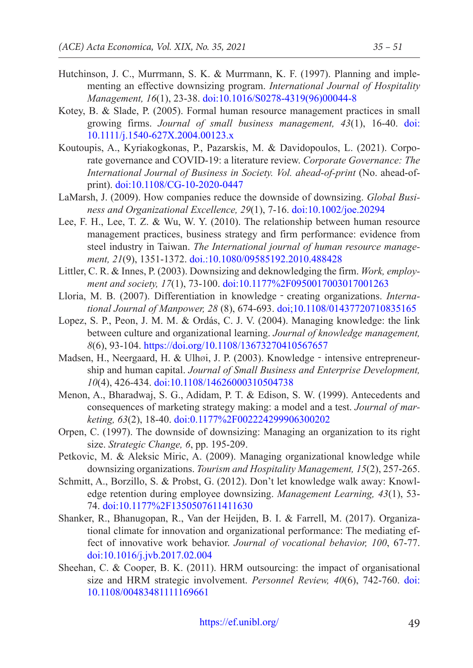- Hutchinson, J. C., Murrmann, S. K. & Murrmann, K. F. (1997). Planning and implementing an effective downsizing program. *International Journal of Hospitality Management, 16*(1), 23-38. [doi:10.1016/S0278-4319\(96\)00044-8](https://doi.org/10.1016/S0278-4319(96)00044-8)
- Kotey, B. & Slade, P. (2005). Formal human resource management practices in small growing firms. *Journal of small business management, 43*(1), 16-40. [doi:](https://doi.org/10.1111/j.1540-627X.2004.00123.x) [10.1111/j.1540-627X.2004.00123.x](https://doi.org/10.1111/j.1540-627X.2004.00123.x)
- <span id="page-14-0"></span>Koutoupis, A., Kyriakogkonas, P., Pazarskis, M. & Davidopoulos, L. (2021). Corporate governance and COVID-19: a literature review. *Corporate Governance: The International Journal of Business in Society. Vol. ahead-of-print* (No. ahead-ofprint). [doi:10.1108/CG-10-2020-0447](https://doi.org/10.1108/CG-10-2020-0447)
- LaMarsh, J. (2009). How companies reduce the downside of downsizing. *Global Business and Organizational Excellence, 29*(1), 7-16. [doi:10.1002/joe.20294](https://doi.org/10.1002/joe.20294)
- Lee, F. H., Lee, T. Z. & Wu, W. Y. (2010). The relationship between human resource management practices, business strategy and firm performance: evidence from steel industry in Taiwan. *The International journal of human resource management, 21*(9), 1351-1372. [doi.:10.1080/09585192.2010.488428](https://doi.org/10.1080/09585192.2010.488428)
- Littler, C. R. & Innes, P. (2003). Downsizing and deknowledging the firm. *Work, employment and society, 17*(1), 73-100. [doi:10.1177%2F0950017003017001263](https://doi.org/10.1177%2F0950017003017001263)
- Lloria, M. B. (2007). Differentiation in knowledge‐creating organizations. *International Journal of Manpower, 28* (8), 674-693. [doi;10.1108/01437720710835165](https://doi.org/10.1108/01437720710835165)
- Lopez, S. P., Peon, J. M. M. & Ordás, C. J. V. (2004). Managing knowledge: the link between culture and organizational learning. *Journal of knowledge management, 8*(6), 93-104. <https://doi.org/10.1108/13673270410567657>
- Madsen, H., Neergaard, H. & Ulhøi, J. P. (2003). Knowledge intensive entrepreneurship and human capital. *Journal of Small Business and Enterprise Development, 10*(4), 426-434. [doi:10.1108/14626000310504738](https://doi.org/10.1108/14626000310504738)
- <span id="page-14-1"></span>Menon, A., Bharadwaj, S. G., Adidam, P. T. & Edison, S. W. (1999). Antecedents and consequences of marketing strategy making: a model and a test. *Journal of marketing, 63*(2), 18-40. [doi:0.1177%2F002224299906300202](https://doi.org/10.1177%2F002224299906300202)
- Orpen, C. (1997). The downside of downsizing: Managing an organization to its right size. *Strategic Change, 6*, pp. 195-209.
- Petkovic, M. & Aleksic Miric, A. (2009). Managing organizational knowledge while downsizing organizations. *Tourism and Hospitality Management, 15*(2), 257-265.
- Schmitt, A., Borzillo, S. & Probst, G. (2012). Don't let knowledge walk away: Knowledge retention during employee downsizing. *Management Learning, 43*(1), 53- 74. [doi:10.1177%2F1350507611411630](https://doi.org/10.1177%2F1350507611411630)
- Shanker, R., Bhanugopan, R., Van der Heijden, B. I. & Farrell, M. (2017). Organizational climate for innovation and organizational performance: The mediating effect of innovative work behavior. *Journal of vocational behavior, 100*, 67-77. [doi:10.1016/j.jvb.2017.02.004](https://doi.org/10.1016/j.jvb.2017.02.004)
- Sheehan, C. & Cooper, B. K. (2011). HRM outsourcing: the impact of organisational size and HRM strategic involvement. *Personnel Review, 40*(6), 742-760. [doi:](https://doi.org/10.1108/00483481111169661) [10.1108/00483481111169661](https://doi.org/10.1108/00483481111169661)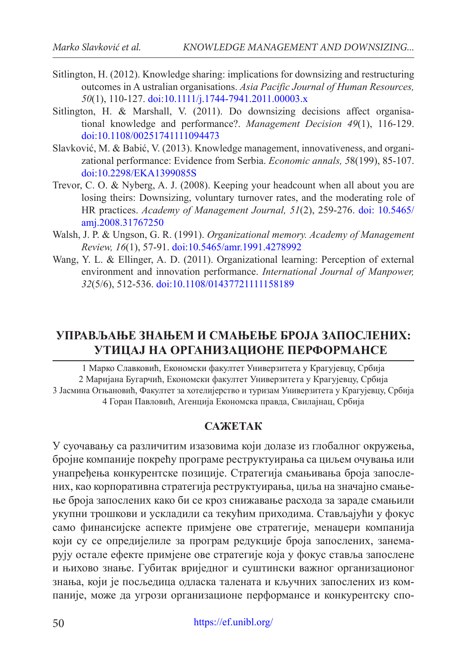- Sitlington, H. (2012). Knowledge sharing: implications for downsizing and restructuring outcomes in A ustralian organisations. *Asia Pacific Journal of Human Resources, 50*(1), 110-127. [doi:10.1111/j.1744-7941.2011.00003.x](https://doi.org/10.1111/j.1744-7941.2011.00003.x)
- Sitlington, H. & Marshall, V. (2011). Do downsizing decisions affect organisational knowledge and performance?. *Management Decision 49*(1), 116-129. [doi:10.1108/00251741111094473](https://doi.org/10.1108/00251741111094473)
- Slavković, M. & Babić, V. (2013). Knowledge management, innovativeness, and organizational performance: Evidence from Serbia. *Economic annals, 5*8(199), 85-107. [doi:10.2298/EKA1399085S](https://doi.org/10.2298/EKA1399085S)
- Trevor, C. O. & Nyberg, A. J. (2008). Keeping your headcount when all about you are losing theirs: Downsizing, voluntary turnover rates, and the moderating role of HR practices. *Academy of Management Journal, 51*(2), 259-276. [doi: 10.5465/](https://doi.org/10.5465/amj.2008.31767250) [amj.2008.31767250](https://doi.org/10.5465/amj.2008.31767250)
- Walsh, J. P. & Ungson, G. R. (1991). *Organizational memory. Academy of Management Review, 16*(1), 57-91. [doi:10.5465/amr.1991.4278992](https://doi.org/10.5465/amr.1991.4278992)
- Wang, Y. L. & Ellinger, A. D. (2011). Organizational learning: Perception of external environment and innovation performance. *International Journal of Manpower, 32*(5/6), 512-536. [doi:10.1108/01437721111158189](https://doi.org/10.1108/01437721111158189)

# **УПРАВЉАЊЕ ЗНАЊЕМ И СМАЊЕЊЕ БРОЈА ЗАПОСЛЕНИХ: УТИЦАЈ НА ОРГАНИЗАЦИОНЕ ПЕРФОРМАНСЕ**

1 Марко Славковић, Економски факултет Универзитета у Крагујевцу, Србија 2 Маријана Бугарчић, Економски факултет Универзитета у Крагујевцу, Србија 3 Јасмина Огњановић, Факултет за хотелијерство и туризам Универзитета у Крагујевцу, Србија 4 Горан Павловић, Агенција Економска правда, Свилајнац, Србија

### **САЖЕТАК**

У суочавању са различитим изазовима који долазе из глобалног окружења, бројне компаније покрећу програме реструктуирања са циљем очувања или унапређења конкурентске позиције. Стратегија смањивања броја запослених, као корпоративна стратегија реструктуирања, циља на значајно смањење броја запослених како би се кроз снижавање расхода за зараде смањили укупни трошкови и ускладили са текућим приходима. Стављајући у фокус само финансијске аспекте примјене ове стратегије, менаџери компанија који су се опредијелиле за програм редукције броја запослених, занемарују остале ефекте примјене ове стратегије која у фокус ставља запослене и њихово знање. Губитак вриједног и суштински важног организационог знања, који је посљедица одласка талената и кључних запослених из компаније, може да угрози организационе перформансе и конкурентску спо